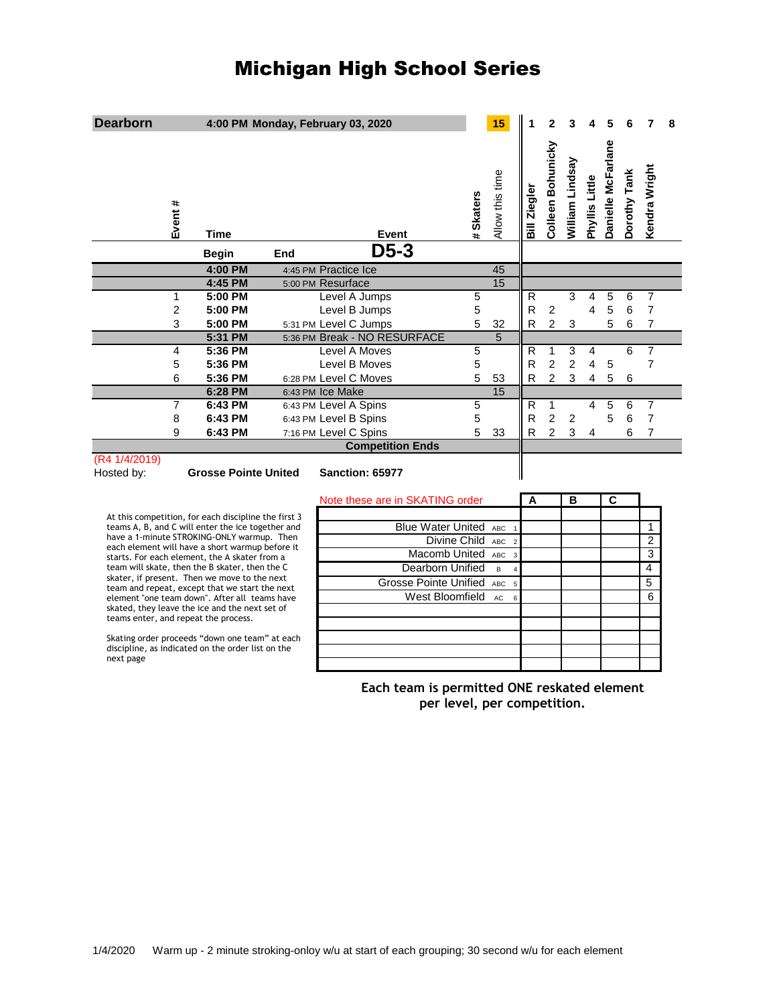# Michigan High School Series

| <b>Dearborn</b>                                                                                                                         |              |                             |     | 4:00 PM Monday, February 03, 2020 |                                             |                | 15                      |              | $\mathbf{2}$      |                           |                |                         |              | 7              | 8 |
|-----------------------------------------------------------------------------------------------------------------------------------------|--------------|-----------------------------|-----|-----------------------------------|---------------------------------------------|----------------|-------------------------|--------------|-------------------|---------------------------|----------------|-------------------------|--------------|----------------|---|
| Event #                                                                                                                                 | <b>Time</b>  |                             |     | Event                             |                                             | # Skaters      | Allow this time         | Bill Ziegler | Colleen Bohunicky | William Lindsay           | Phyllis Little | Danielle McFarlane      | Dorothy Tank | Kendra Wright  |   |
|                                                                                                                                         | <b>Begin</b> |                             | End | $D5-3$                            |                                             |                |                         |              |                   |                           |                |                         |              |                |   |
|                                                                                                                                         |              | 4:00 PM                     |     | 4:45 PM Practice Ice              |                                             |                | 45                      |              |                   |                           |                |                         |              |                |   |
|                                                                                                                                         |              | 4:45 PM                     |     | 5:00 PM Resurface                 |                                             |                | 15                      |              |                   |                           |                |                         |              |                |   |
| 1                                                                                                                                       |              | 5:00 PM                     |     | Level A Jumps                     |                                             | 5              |                         | R            |                   | 3                         | 4              | 5                       | 6            | 7              |   |
| $\overline{2}$                                                                                                                          |              | 5:00 PM                     |     | Level B Jumps                     |                                             | 5              |                         | R            | $\overline{c}$    |                           | 4              | 5                       | 6            | $\overline{7}$ |   |
| 3                                                                                                                                       |              | 5:00 PM                     |     | 5:31 PM Level C Jumps             |                                             | 5              | 32                      | R            | $\overline{c}$    | $\ensuremath{\mathsf{3}}$ |                | 5                       | 6            | $\overline{7}$ |   |
|                                                                                                                                         |              | 5:31 PM                     |     | 5:36 PM Break - NO RESURFACE      |                                             |                | 5                       |              |                   |                           |                |                         |              |                |   |
| 4                                                                                                                                       |              | 5:36 PM                     |     | Level A Moves                     |                                             | 5              |                         | R            | 1                 | 3                         | 4              |                         | 6            | 7              |   |
| 5                                                                                                                                       |              | 5:36 PM                     |     | Level B Moves                     |                                             | 5              |                         | R            | $\overline{2}$    | $\overline{c}$            | 4              | 5                       |              | $\overline{7}$ |   |
| 6                                                                                                                                       |              | 5:36 PM                     |     | 6:28 PM Level C Moves             |                                             | 5              | 53                      | R            | $\overline{2}$    | 3                         | 4              | 5                       | 6            |                |   |
|                                                                                                                                         |              | 6:28 PM                     |     | 6:43 PM Ice Make                  |                                             |                | $\overline{15}$         |              |                   |                           |                |                         |              |                |   |
| $\overline{7}$                                                                                                                          |              | 6:43 PM                     |     | 6:43 PM Level A Spins             |                                             | $\overline{5}$ |                         | R            | $\mathbf{1}$      |                           | 4              | 5                       | 6            | $\overline{7}$ |   |
| 8                                                                                                                                       |              | 6:43 PM                     |     | 6:43 PM Level B Spins             |                                             | 5              |                         | R            | $\overline{2}$    | $\overline{2}$            |                | 5                       | 6            | $\overline{7}$ |   |
| 9                                                                                                                                       |              | 6:43 PM                     |     | 7:16 PM Level C Spins             |                                             | 5              | 33                      | R            | $\overline{c}$    | 3                         | 4              |                         | 6            | 7              |   |
| (R4 1/4/2019)                                                                                                                           |              |                             |     | <b>Competition Ends</b>           |                                             |                |                         |              |                   |                           |                |                         |              |                |   |
| Hosted by:                                                                                                                              |              | <b>Grosse Pointe United</b> |     | Sanction: 65977                   |                                             |                |                         |              |                   |                           |                |                         |              |                |   |
|                                                                                                                                         |              |                             |     | Note these are in SKATING order   |                                             |                |                         | A            |                   | B                         |                | $\overline{\mathbf{c}}$ |              |                |   |
| At this competition, for each discipline the first 3                                                                                    |              |                             |     |                                   |                                             |                |                         |              |                   |                           |                |                         |              |                |   |
| teams A, B, and C will enter the ice together and                                                                                       |              |                             |     |                                   | Blue Water United ABC                       |                |                         |              |                   |                           |                |                         |              | 1              |   |
| have a 1-minute STROKING-ONLY warmup. Then                                                                                              |              |                             |     |                                   | Divine Child ABC                            |                | $\overline{\mathbf{c}}$ |              |                   |                           |                |                         |              | $\overline{2}$ |   |
| each element will have a short warmup before it<br>starts. For each element, the A skater from a                                        |              |                             |     |                                   | Macomb United ABC                           |                | $\overline{3}$          |              |                   |                           |                |                         |              | 3              |   |
| team will skate, then the B skater, then the C                                                                                          |              |                             |     |                                   | Dearborn Unified                            |                | B                       |              |                   |                           |                |                         |              | $\overline{4}$ |   |
| skater, if present. Then we move to the next                                                                                            |              |                             |     |                                   | Grosse Pointe Unified ABC                   |                | $\overline{5}$          |              |                   |                           |                |                         |              | 5              |   |
| team and repeat, except that we start the next                                                                                          |              |                             |     |                                   | West Bloomfield                             |                | AC<br>$6\phantom{a}$    |              |                   |                           |                |                         |              | 6              |   |
| element "one team down". After all teams have<br>skated, they leave the ice and the next set of<br>teams enter, and repeat the process. |              |                             |     |                                   |                                             |                |                         |              |                   |                           |                |                         |              |                |   |
|                                                                                                                                         |              |                             |     |                                   |                                             |                |                         |              |                   |                           |                |                         |              |                |   |
| Skating order proceeds "down one team" at each                                                                                          |              |                             |     |                                   |                                             |                |                         |              |                   |                           |                |                         |              |                |   |
| discipline, as indicated on the order list on the<br>next page                                                                          |              |                             |     |                                   |                                             |                |                         |              |                   |                           |                |                         |              |                |   |
|                                                                                                                                         |              |                             |     |                                   |                                             |                |                         |              |                   |                           |                |                         |              |                |   |
|                                                                                                                                         |              |                             |     |                                   | Each team is permitted ONE reskated element |                |                         |              |                   |                           |                |                         |              |                |   |
|                                                                                                                                         |              |                             |     |                                   | per level, per competition.                 |                |                         |              |                   |                           |                |                         |              |                |   |